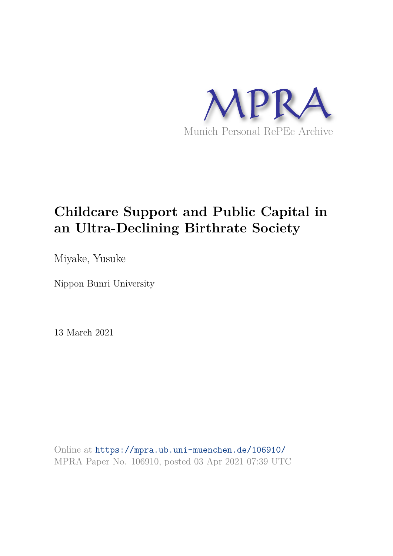

# **Childcare Support and Public Capital in an Ultra-Declining Birthrate Society**

Miyake, Yusuke

Nippon Bunri University

13 March 2021

Online at https://mpra.ub.uni-muenchen.de/106910/ MPRA Paper No. 106910, posted 03 Apr 2021 07:39 UTC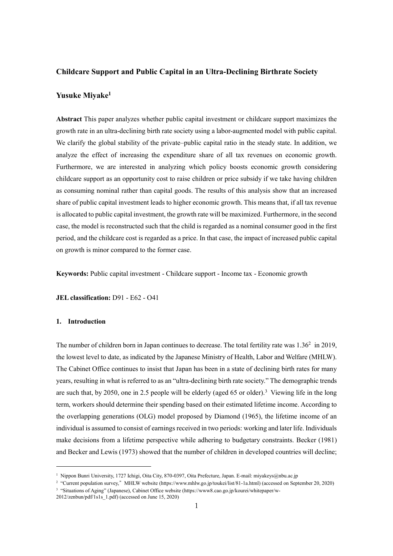# **Childcare Support and Public Capital in an Ultra-Declining Birthrate Society**

# **Yusuke Miyake<sup>1</sup>**

**Abstract** This paper analyzes whether public capital investment or childcare support maximizes the growth rate in an ultra-declining birth rate society using a labor-augmented model with public capital. We clarify the global stability of the private–public capital ratio in the steady state. In addition, we analyze the effect of increasing the expenditure share of all tax revenues on economic growth. Furthermore, we are interested in analyzing which policy boosts economic growth considering childcare support as an opportunity cost to raise children or price subsidy if we take having children as consuming nominal rather than capital goods. The results of this analysis show that an increased share of public capital investment leads to higher economic growth. This means that, if all tax revenue is allocated to public capital investment, the growth rate will be maximized. Furthermore, in the second case, the model is reconstructed such that the child is regarded as a nominal consumer good in the first period, and the childcare cost is regarded as a price. In that case, the impact of increased public capital on growth is minor compared to the former case.

**Keywords:** Public capital investment - Childcare support - Income tax - Economic growth

**JEL classification:** D91 - E62 - O41

# **1. Introduction**

-

The number of children born in Japan continues to decrease. The total fertility rate was  $1.36<sup>2</sup>$  in 2019, the lowest level to date, as indicated by the Japanese Ministry of Health, Labor and Welfare (MHLW). The Cabinet Office continues to insist that Japan has been in a state of declining birth rates for many years, resulting in what is referred to as an "ultra-declining birth rate society." The demographic trends are such that, by 2050, one in 2.5 people will be elderly (aged 65 or older).<sup>3</sup> Viewing life in the long term, workers should determine their spending based on their estimated lifetime income. According to the overlapping generations (OLG) model proposed by Diamond (1965), the lifetime income of an individual is assumed to consist of earnings received in two periods: working and later life. Individuals make decisions from a lifetime perspective while adhering to budgetary constraints. Becker (1981) and Becker and Lewis (1973) showed that the number of children in developed countries will decline;

<sup>1</sup> Nippon Bunri University, 1727 Ichigi, Oita City, 870-0397, Oita Prefecture, Japan. E-mail: miyakeys@nbu.ac.jp

<sup>2</sup> "Current population survey," MHLW website (https://www.mhlw.go.jp/toukei/list/81-1a.html) (accessed on September 20, 2020) 3 "Situations of Aging" (Japanese), Cabinet Office website [\(https://www8.cao.go.jp/kourei/whitepaper/w-](https://www8.cao.go.jp/kourei/whitepaper/w-2012/zenbun/pdf/1s1s_1.pdf)

 $2012$ /zenbun/pdf/ $1\overline{s}1\overline{s}1.$ pdf) (accessed on June 15, 2020)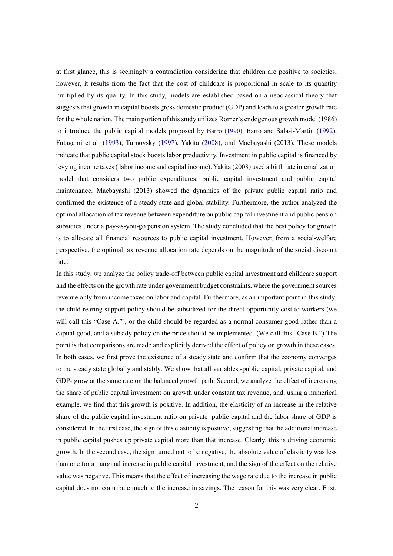at first glance, this is seemingly a contradiction considering that children are positive to societies; however, it results from the fact that the cost of childcare is proportional in scale to its quantity multiplied by its quality. In this study, models are established based on a neoclassical theory that suggests that growth in capital boosts gross domestic product (GDP) and leads to a greater growth rate for the whole nation. The main portion of this study utilizes Romer's endogenous growth model (1986) to introduce the public capital models proposed by Barro (1990), Barro and Sala-i-Martin (1992), Futagami et al. (1993), Turnovsky (1997), Yakita (2008), and Maebayashi (2013). These models indicate that public capital stock boosts labor productivity. Investment in public capital is financed by levying income taxes ( labor income and capital income). Yakita (2008) used a birth rate internalization model that considers two public expenditures: public capital investment and public capital maintenance. Maebayashi (2013) showed the dynamics of the private–public capital ratio and confirmed the existence of a steady state and global stability. Furthermore, the author analyzed the optimal allocation of tax revenue between expenditure on public capital investment and public pension subsidies under a pay-as-you-go pension system. The study concluded that the best policy for growth is to allocate all financial resources to public capital investment. However, from a social-welfare perspective, the optimal tax revenue allocation rate depends on the magnitude of the social discount rate.

In this study, we analyze the policy trade-off between public capital investment and childcare support and the effects on the growth rate under government budget constraints, where the government sources revenue only from income taxes on labor and capital. Furthermore, as an important point in this study, the child-rearing support policy should be subsidized for the direct opportunity cost to workers (we will call this "Case A."), or the child should be regarded as a normal consumer good rather than a capital good, and a subsidy policy on the price should be implemented. (We call this "Case B.") The point is that comparisons are made and explicitly derived the effect of policy on growth in these cases. In both cases, we first prove the existence of a steady state and confirm that the economy converges to the steady state globally and stably. We show that all variables -public capital, private capital, and GDP- grow at the same rate on the balanced growth path. Second, we analyze the effect of increasing the share of public capital investment on growth under constant tax revenue, and, using a numerical example, we find that this growth is positive. In addition, the elasticity of an increase in the relative share of the public capital investment ratio on private–public capital and the labor share of GDP is considered. In the first case, the sign of this elasticity is positive, suggesting that the additional increase in public capital pushes up private capital more than that increase. Clearly, this is driving economic growth. In the second case, the sign turned out to be negative, the absolute value of elasticity was less than one for a marginal increase in public capital investment, and the sign of the effect on the relative value was negative. This means that the effect of increasing the wage rate due to the increase in public capital does not contribute much to the increase in savings. The reason for this was very clear. First,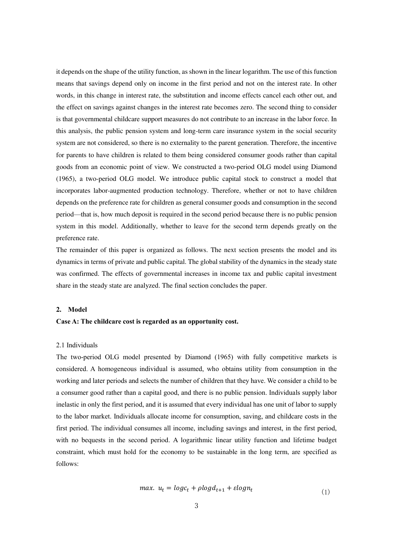it depends on the shape of the utility function, as shown in the linear logarithm. The use of this function means that savings depend only on income in the first period and not on the interest rate. In other words, in this change in interest rate, the substitution and income effects cancel each other out, and the effect on savings against changes in the interest rate becomes zero. The second thing to consider is that governmental childcare support measures do not contribute to an increase in the labor force. In this analysis, the public pension system and long-term care insurance system in the social security system are not considered, so there is no externality to the parent generation. Therefore, the incentive for parents to have children is related to them being considered consumer goods rather than capital goods from an economic point of view. We constructed a two-period OLG model using Diamond (1965), a two-period OLG model. We introduce public capital stock to construct a model that incorporates labor-augmented production technology. Therefore, whether or not to have children depends on the preference rate for children as general consumer goods and consumption in the second period—that is, how much deposit is required in the second period because there is no public pension system in this model. Additionally, whether to leave for the second term depends greatly on the preference rate.

The remainder of this paper is organized as follows. The next section presents the model and its dynamics in terms of private and public capital. The global stability of the dynamics in the steady state was confirmed. The effects of governmental increases in income tax and public capital investment share in the steady state are analyzed. The final section concludes the paper.

#### **2. Model**

# **Case A: The childcare cost is regarded as an opportunity cost.**

#### 2.1 Individuals

The two-period OLG model presented by Diamond (1965) with fully competitive markets is considered. A homogeneous individual is assumed, who obtains utility from consumption in the working and later periods and selects the number of children that they have. We consider a child to be a consumer good rather than a capital good, and there is no public pension. Individuals supply labor inelastic in only the first period, and it is assumed that every individual has one unit of labor to supply to the labor market. Individuals allocate income for consumption, saving, and childcare costs in the first period. The individual consumes all income, including savings and interest, in the first period, with no bequests in the second period. A logarithmic linear utility function and lifetime budget constraint, which must hold for the economy to be sustainable in the long term, are specified as follows:

$$
max. \ u_t = logc_t + plogd_{t+1} + \varepsilon logn_t \tag{1}
$$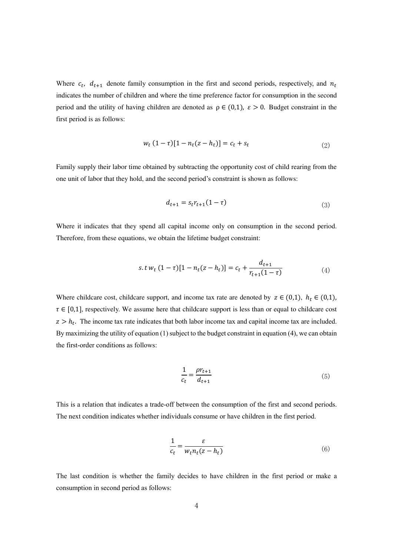Where  $c_t$ ,  $d_{t+1}$  denote family consumption in the first and second periods, respectively, and  $n_t$ indicates the number of children and where the time preference factor for consumption in the second period and the utility of having children are denoted as  $\rho \in (0,1)$ ,  $\varepsilon > 0$ . Budget constraint in the first period is as follows:

$$
w_t (1 - \tau) [1 - n_t (z - h_t)] = c_t + s_t
$$
\n(2)

Family supply their labor time obtained by subtracting the opportunity cost of child rearing from the one unit of labor that they hold, and the second period's constraint is shown as follows:

$$
d_{t+1} = s_t r_{t+1} (1 - \tau) \tag{3}
$$

Where it indicates that they spend all capital income only on consumption in the second period. Therefore, from these equations, we obtain the lifetime budget constraint:

$$
s.t wt (1-\tau)[1 - nt(z - ht)] = ct + \frac{d_{t+1}}{r_{t+1}(1-\tau)}
$$
(4)

Where childcare cost, childcare support, and income tax rate are denoted by  $z \in (0,1)$ ,  $h_t \in (0,1)$ ,  $\tau \in [0,1]$ , respectively. We assume here that childcare support is less than or equal to childcare cost  $z > h_t$ . The income tax rate indicates that both labor income tax and capital income tax are included. By maximizing the utility of equation (1) subject to the budget constraint in equation (4), we can obtain the first-order conditions as follows:

$$
\frac{1}{c_t} = \frac{\rho r_{t+1}}{d_{t+1}}
$$
\n(5)

This is a relation that indicates a trade-off between the consumption of the first and second periods. The next condition indicates whether individuals consume or have children in the first period.

$$
\frac{1}{c_t} = \frac{\varepsilon}{w_t n_t (z - h_t)}\tag{6}
$$

The last condition is whether the family decides to have children in the first period or make a consumption in second period as follows: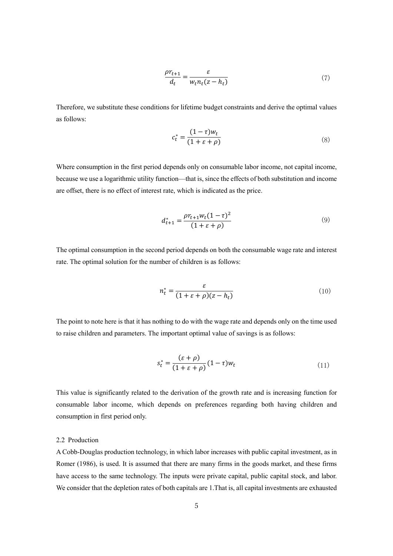$$
\frac{\rho r_{t+1}}{d_t} = \frac{\varepsilon}{w_t n_t (z - h_t)}\tag{7}
$$

Therefore, we substitute these conditions for lifetime budget constraints and derive the optimal values as follows:

$$
c_t^* = \frac{(1-\tau)w_t}{(1+\varepsilon+\rho)}
$$
\n(8)

Where consumption in the first period depends only on consumable labor income, not capital income, because we use a logarithmic utility function—that is, since the effects of both substitution and income are offset, there is no effect of interest rate, which is indicated as the price.

$$
d_{t+1}^{*} = \frac{\rho r_{t+1} w_t (1 - \tau)^2}{(1 + \varepsilon + \rho)}
$$
(9)

The optimal consumption in the second period depends on both the consumable wage rate and interest rate. The optimal solution for the number of children is as follows:

$$
n_t^* = \frac{\varepsilon}{(1 + \varepsilon + \rho)(z - h_t)}
$$
(10)

The point to note here is that it has nothing to do with the wage rate and depends only on the time used to raise children and parameters. The important optimal value of savings is as follows:

$$
s_t^* = \frac{(\varepsilon + \rho)}{(1 + \varepsilon + \rho)} (1 - \tau) w_t \tag{11}
$$

This value is significantly related to the derivation of the growth rate and is increasing function for consumable labor income, which depends on preferences regarding both having children and consumption in first period only.

# 2.2 Production

A Cobb-Douglas production technology, in which labor increases with public capital investment, as in Romer (1986), is used. It is assumed that there are many firms in the goods market, and these firms have access to the same technology. The inputs were private capital, public capital stock, and labor. We consider that the depletion rates of both capitals are 1.That is, all capital investments are exhausted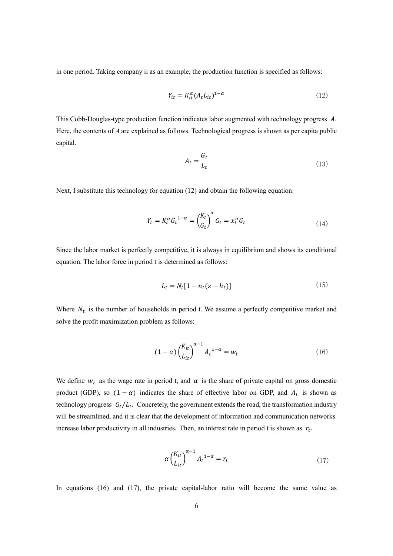in one period. Taking company ii as an example, the production function is specified as follows:

$$
Y_{it} = K_{it}^{\alpha} (A_t L_{it})^{1-\alpha} \tag{12}
$$

This Cobb-Douglas-type production function indicates labor augmented with technology progress A. Here, the contents of *A* are explained as follows. Technological progress is shown as per capita public capital.

$$
A_t = \frac{G_t}{L_t} \tag{13}
$$

Next, I substitute this technology for equation (12) and obtain the following equation:

$$
Y_t = K_t^{\alpha} G_t^{1-\alpha} = \left(\frac{K_t}{G_t}\right)^{\alpha} G_t = x_t^{\alpha} G_t \tag{14}
$$

Since the labor market is perfectly competitive, it is always in equilibrium and shows its conditional equation. The labor force in period t is determined as follows:

$$
L_t = N_t \left[ 1 - n_t (z - h_t) \right] \tag{15}
$$

Where  $N_t$  is the number of households in period t. We assume a perfectly competitive market and solve the profit maximization problem as follows:

$$
(1 - \alpha) \left(\frac{K_{it}}{L_{it}}\right)^{\alpha - 1} A_t^{1 - \alpha} = w_t \tag{16}
$$

We define  $w_t$  as the wage rate in period t, and  $\alpha$  is the share of private capital on gross domestic product (GDP), so  $(1 - \alpha)$  indicates the share of effective labor on GDP, and  $A_t$  is shown as technology progress  $G_t/L_t$ . Concretely, the government extends the road, the transformation industry will be streamlined, and it is clear that the development of information and communication networks increase labor productivity in all industries. Then, an interest rate in period t is shown as  $r_t$ .

$$
\alpha \left(\frac{K_{it}}{L_{it}}\right)^{\alpha - 1} A_t^{-1 - \alpha} = r_t \tag{17}
$$

In equations (16) and (17), the private capital-labor ratio will become the same value as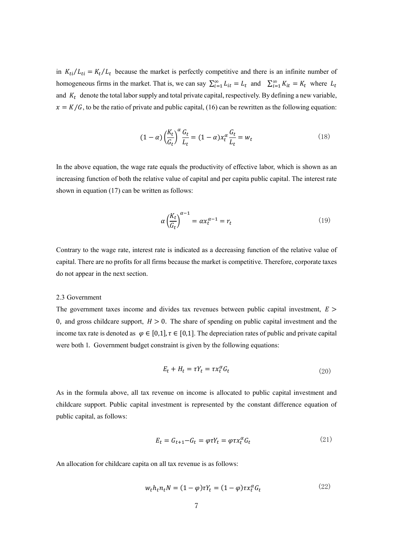in  $K_{ti}/L_{ti} = K_t/L_t$  because the market is perfectly competitive and there is an infinite number of homogeneous firms in the market. That is, we can say  $\sum_{i=1}^{\infty} L_{it} = L_t$  and  $\sum_{i=1}^{\infty} K_{it} = K_t$  where  $L_t$ and  $K_t$  denote the total labor supply and total private capital, respectively. By defining a new variable,  $x = K/G$ , to be the ratio of private and public capital, (16) can be rewritten as the following equation:

$$
(1 - \alpha) \left(\frac{K_t}{G_t}\right)^{\alpha} \frac{G_t}{L_t} = (1 - \alpha) x_t^{\alpha} \frac{G_t}{L_t} = w_t \tag{18}
$$

In the above equation, the wage rate equals the productivity of effective labor, which is shown as an increasing function of both the relative value of capital and per capita public capital. The interest rate shown in equation (17) can be written as follows:

$$
\alpha \left(\frac{K_t}{G_t}\right)^{\alpha - 1} = \alpha x_t^{\alpha - 1} = r_t \tag{19}
$$

Contrary to the wage rate, interest rate is indicated as a decreasing function of the relative value of capital. There are no profits for all firms because the market is competitive. Therefore, corporate taxes do not appear in the next section.

#### 2.3 Government

The government taxes income and divides tax revenues between public capital investment,  $E >$ 0, and gross childcare support,  $H > 0$ . The share of spending on public capital investment and the income tax rate is denoted as  $\varphi \in [0,1]$ ,  $\tau \in [0,1]$ . The depreciation rates of public and private capital were both 1. Government budget constraint is given by the following equations:

$$
E_t + H_t = \tau Y_t = \tau x_t^{\alpha} G_t \tag{20}
$$

As in the formula above, all tax revenue on income is allocated to public capital investment and childcare support. Public capital investment is represented by the constant difference equation of public capital, as follows:

$$
E_t = G_{t+1} - G_t = \varphi \tau Y_t = \varphi \tau x_t^{\alpha} G_t \tag{21}
$$

An allocation for childcare capita on all tax revenue is as follows:

$$
w_t h_t n_t N = (1 - \varphi) \tau Y_t = (1 - \varphi) \tau x_t^{\alpha} G_t \tag{22}
$$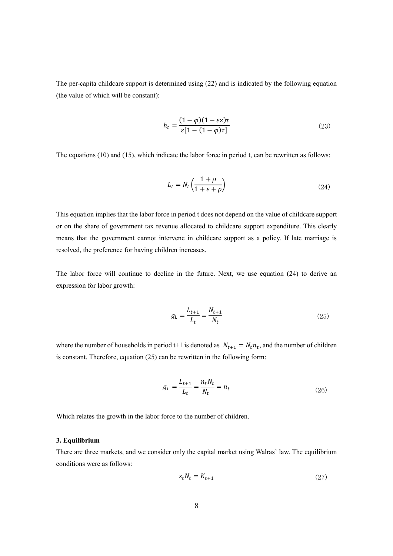The per-capita childcare support is determined using (22) and is indicated by the following equation (the value of which will be constant):

$$
h_t = \frac{(1 - \varphi)(1 - \varepsilon z)\tau}{\varepsilon [1 - (1 - \varphi)\tau]}
$$
\n(23)

The equations (10) and (15), which indicate the labor force in period t, can be rewritten as follows:

$$
L_t = N_t \left( \frac{1+\rho}{1+\varepsilon+\rho} \right) \tag{24}
$$

This equation implies that the labor force in period t does not depend on the value of childcare support or on the share of government tax revenue allocated to childcare support expenditure. This clearly means that the government cannot intervene in childcare support as a policy. If late marriage is resolved, the preference for having children increases.

The labor force will continue to decline in the future. Next, we use equation (24) to derive an expression for labor growth:

$$
g_L = \frac{L_{t+1}}{L_t} = \frac{N_{t+1}}{N_t}
$$
\n(25)

where the number of households in period t+1 is denoted as  $N_{t+1} = N_t n_t$ , and the number of children is constant. Therefore, equation (25) can be rewritten in the following form:

$$
g_L = \frac{L_{t+1}}{L_t} = \frac{n_t N_t}{N_t} = n_t
$$
\n(26)

Which relates the growth in the labor force to the number of children.

#### **3. Equilibrium**

There are three markets, and we consider only the capital market using Walras' law. The equilibrium conditions were as follows:

$$
s_t N_t = K_{t+1} \tag{27}
$$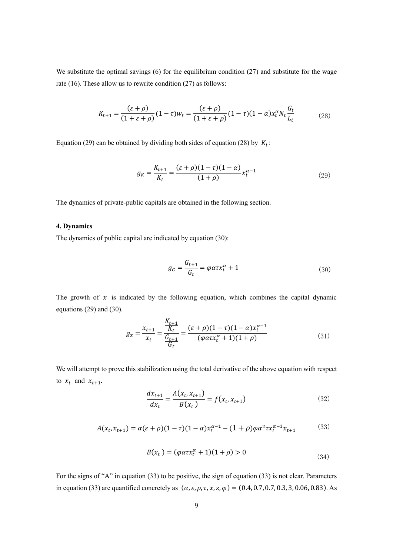We substitute the optimal savings (6) for the equilibrium condition (27) and substitute for the wage rate (16). These allow us to rewrite condition (27) as follows:

$$
K_{t+1} = \frac{(\varepsilon + \rho)}{(1 + \varepsilon + \rho)} (1 - \tau) w_t = \frac{(\varepsilon + \rho)}{(1 + \varepsilon + \rho)} (1 - \tau) (1 - \alpha) x_t^{\alpha} N_t \frac{G_t}{L_t}
$$
(28)

Equation (29) can be obtained by dividing both sides of equation (28) by  $K_t$ :

$$
g_K = \frac{K_{t+1}}{K_t} = \frac{(\varepsilon + \rho)(1 - \tau)(1 - \alpha)}{(1 + \rho)} x_t^{\alpha - 1}
$$
\n(29)

The dynamics of private-public capitals are obtained in the following section.

#### **4. Dynamics**

The dynamics of public capital are indicated by equation (30):

$$
g_G = \frac{G_{t+1}}{G_t} = \varphi \alpha \tau x_t^{\alpha} + 1 \tag{30}
$$

The growth of  $x$  is indicated by the following equation, which combines the capital dynamic equations (29) and (30).

$$
g_x = \frac{x_{t+1}}{x_t} = \frac{\frac{K_{t+1}}{K_t}}{\frac{G_{t+1}}{G_t}} = \frac{(\varepsilon + \rho)(1 - \tau)(1 - \alpha)x_t^{\alpha - 1}}{(\varphi \alpha \tau x_t^{\alpha} + 1)(1 + \rho)}
$$
(31)

We will attempt to prove this stabilization using the total derivative of the above equation with respect to  $x_t$  and  $x_{t+1}$ .

$$
\frac{dx_{t+1}}{dx_t} = \frac{A(x_t, x_{t+1})}{B(x_t)} = f(x_t, x_{t+1})
$$
\n(32)

$$
A(x_t, x_{t+1}) = \alpha(\varepsilon + \rho)(1 - \tau)(1 - \alpha)x_t^{\alpha - 1} - (1 + \rho)\varphi\alpha^2 \tau x_t^{\alpha - 1}x_{t+1}
$$
(33)

$$
B(x_t) = (\varphi a \tau x_t^{\alpha} + 1)(1 + \rho) > 0
$$
\n(34)

For the signs of "A" in equation (33) to be positive, the sign of equation (33) is not clear. Parameters in equation (33) are quantified concretely as  $(a, \varepsilon, \rho, \tau, x, z, \varphi) = (0.4, 0.7, 0.7, 0.3, 3, 0.06, 0.83)$ . As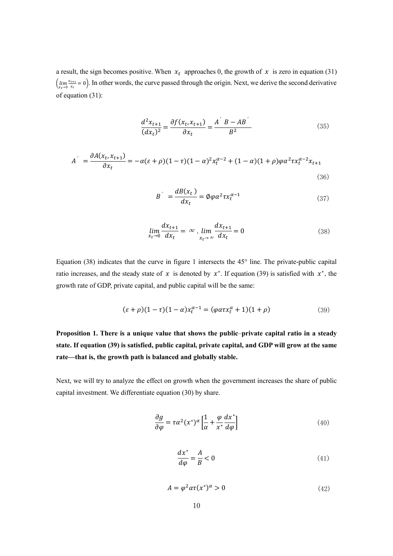a result, the sign becomes positive. When  $x_t$  approaches 0, the growth of  $x$  is zero in equation (31)  $\lim_{x_t \to 0} \frac{x_{t+1}}{x_t}$  $\frac{t+1}{x_t} = 0$ ). In other words, the curve passed through the origin. Next, we derive the second derivative of equation (31):

$$
\frac{d^2x_{t+1}}{(dx_t)^2} = \frac{\partial f(x_t, x_{t+1})}{\partial x_t} = \frac{A^{'}B - AB^{'}}{B^2}
$$
(35)

$$
A^{'} = \frac{\partial A(x_t, x_{t+1})}{\partial x_t} = -\alpha(\varepsilon + \rho)(1 - \tau)(1 - \alpha)^2 x_t^{\alpha - 2} + (1 - \alpha)(1 + \rho)\varphi\alpha^2 \tau x_t^{\alpha - 2} x_{t+1}
$$
\n(36)

$$
B^{'} = \frac{dB(x_t)}{dx_t} = \phi \varphi \alpha^2 \tau x_t^{\alpha - 1}
$$
\n(37)

$$
\lim_{x_t \to 0} \frac{dx_{t+1}}{dx_t} = \infty, \lim_{x_t \to \infty} \frac{dx_{t+1}}{dx_t} = 0
$$
\n(38)

Equation (38) indicates that the curve in figure 1 intersects the 45° line. The private-public capital ratio increases, and the steady state of  $x$  is denoted by  $x^*$ . If equation (39) is satisfied with  $x^*$ , the growth rate of GDP, private capital, and public capital will be the same:

$$
(\varepsilon + \rho)(1 - \tau)(1 - \alpha)x_t^{\alpha - 1} = (\varphi \alpha \tau x_t^{\alpha} + 1)(1 + \rho)
$$
\n(39)

**Proposition 1. There is a unique value that shows the public**–**private capital ratio in a steady state. If equation (39) is satisfied, public capital, private capital, and GDP will grow at the same rate—that is, the growth path is balanced and globally stable.**

Next, we will try to analyze the effect on growth when the government increases the share of public capital investment. We differentiate equation (30) by share.

$$
\frac{\partial g}{\partial \varphi} = \tau \alpha^2 (x^*)^{\alpha} \left[ \frac{1}{\alpha} + \frac{\varphi}{x^*} \frac{dx^*}{d\varphi} \right]
$$
(40)

$$
\frac{dx^*}{d\varphi} = \frac{A}{B} < 0 \tag{41}
$$

$$
A = \varphi^2 \alpha \tau(x^*)^{\alpha} > 0 \tag{42}
$$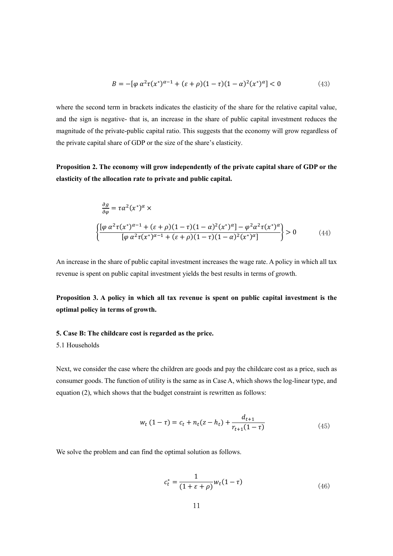$$
B = -[\varphi \alpha^2 \tau(x^*)^{\alpha - 1} + (\varepsilon + \rho)(1 - \tau)(1 - \alpha)^2 (x^*)^{\alpha}] < 0
$$
 (43)

where the second term in brackets indicates the elasticity of the share for the relative capital value, and the sign is negative- that is, an increase in the share of public capital investment reduces the magnitude of the private-public capital ratio. This suggests that the economy will grow regardless of the private capital share of GDP or the size of the share's elasticity.

**Proposition 2. The economy will grow independently of the private capital share of GDP or the elasticity of the allocation rate to private and public capital.**

$$
\frac{\partial g}{\partial \varphi} = \tau \alpha^2 (x^*)^{\alpha} \times
$$
\n
$$
\left\{ \frac{[\varphi \alpha^2 \tau (x^*)^{\alpha-1} + (\varepsilon + \rho)(1-\tau)(1-\alpha)^2 (x^*)^{\alpha}] - \varphi^2 \alpha^2 \tau (x^*)^{\alpha}}{[\varphi \alpha^2 \tau (x^*)^{\alpha-1} + (\varepsilon + \rho)(1-\tau)(1-\alpha)^2 (x^*)^{\alpha}]} \right\} > 0 \tag{44}
$$

An increase in the share of public capital investment increases the wage rate. A policy in which all tax revenue is spent on public capital investment yields the best results in terms of growth.

**Proposition 3. A policy in which all tax revenue is spent on public capital investment is the optimal policy in terms of growth.**

# **5. Case B: The childcare cost is regarded as the price.**

# 5.1 Households

Next, we consider the case where the children are goods and pay the childcare cost as a price, such as consumer goods. The function of utility is the same as in Case A, which shows the log-linear type, and equation (2), which shows that the budget constraint is rewritten as follows:

$$
w_t (1 - \tau) = c_t + n_t (z - h_t) + \frac{d_{t+1}}{r_{t+1} (1 - \tau)}
$$
(45)

We solve the problem and can find the optimal solution as follows.

$$
c_t^* = \frac{1}{(1 + \varepsilon + \rho)} w_t (1 - \tau) \tag{46}
$$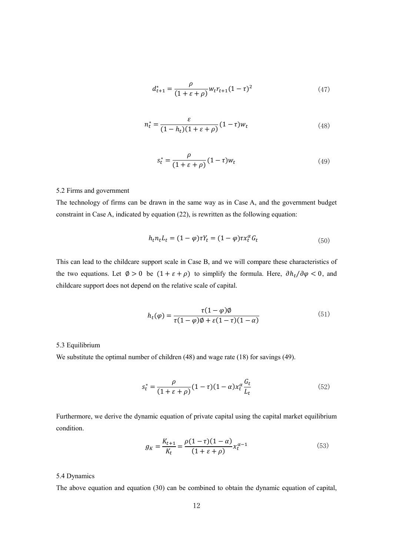$$
d_{t+1}^* = \frac{\rho}{(1+\varepsilon+\rho)} w_t r_{t+1} (1-\tau)^2
$$
 (47)

$$
n_t^* = \frac{\varepsilon}{(1 - h_t)(1 + \varepsilon + \rho)} (1 - \tau) w_t
$$
\n(48)

$$
s_t^* = \frac{\rho}{(1 + \varepsilon + \rho)} (1 - \tau) w_t \tag{49}
$$

#### 5.2 Firms and government

The technology of firms can be drawn in the same way as in Case A, and the government budget constraint in Case A, indicated by equation (22), is rewritten as the following equation:

$$
h_t n_t L_t = (1 - \varphi) \tau Y_t = (1 - \varphi) \tau x_t^{\alpha} G_t
$$
\n
$$
(50)
$$

This can lead to the childcare support scale in Case B, and we will compare these characteristics of the two equations. Let  $\emptyset > 0$  be  $(1 + \varepsilon + \rho)$  to simplify the formula. Here,  $\partial h_t / \partial \varphi < 0$ , and childcare support does not depend on the relative scale of capital.

$$
h_t(\varphi) = \frac{\tau(1-\varphi)\varphi}{\tau(1-\varphi)\varphi + \varepsilon(1-\tau)(1-\alpha)}\tag{51}
$$

# 5.3 Equilibrium

We substitute the optimal number of children (48) and wage rate (18) for savings (49).

$$
s_t^* = \frac{\rho}{(1+\varepsilon+\rho)}(1-\tau)(1-\alpha)x_t^{\alpha}\frac{G_t}{L_t}
$$
(52)

Furthermore, we derive the dynamic equation of private capital using the capital market equilibrium condition.

$$
g_K = \frac{K_{t+1}}{K_t} = \frac{\rho(1-\tau)(1-\alpha)}{(1+\varepsilon+\rho)} x_t^{\alpha-1}
$$
(53)

#### 5.4 Dynamics

The above equation and equation (30) can be combined to obtain the dynamic equation of capital,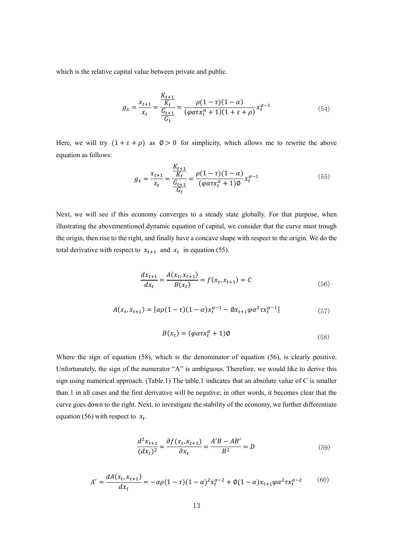which is the relative capital value between private and public.

$$
g_x = \frac{x_{t+1}}{x_t} = \frac{\frac{K_{t+1}}{K_t}}{\frac{G_{t+1}}{G_t}} = \frac{\rho(1-\tau)(1-\alpha)}{(\varphi\alpha\tau x_t^{\alpha} + 1)(1+\varepsilon+\rho)} x_t^{\alpha-1}
$$
(54)

Here, we will try  $(1 + \varepsilon + \rho)$  as  $\emptyset > 0$  for simplicity, which allows me to rewrite the above equation as follows:

$$
g_x = \frac{x_{t+1}}{x_t} = \frac{\frac{K_{t+1}}{K_t}}{\frac{G_{t+1}}{G_t}} = \frac{\rho(1-\tau)(1-\alpha)}{(\varphi\alpha\tau x_t^{\alpha} + 1)\phi} x_t^{\alpha-1}
$$
(55)

Next, we will see if this economy converges to a steady state globally. For that purpose, when illustrating the abovementioned dynamic equation of capital, we consider that the curve must trough the origin, then rise to the right, and finally have a concave shape with respect to the origin. We do the total derivative with respect to  $x_{t+1}$  and  $x_t$  in equation (55).

$$
\frac{dx_{t+1}}{dx_t} = \frac{A(x_t, x_{t+1})}{B(x_t)} = f(x_t, x_{t+1}) = C
$$
\n(56)

$$
A(x_t, x_{t+1}) = [\alpha \rho (1 - \tau)(1 - \alpha) x_t^{\alpha - 1} - \beta x_{t+1} \varphi \alpha^2 \tau x_t^{\alpha - 1}]
$$
\n(57)

$$
B(x_t) = (\varphi \alpha \tau x_t^{\alpha} + 1)\emptyset \tag{58}
$$

Where the sign of equation (58), which is the denominator of equation (56), is clearly positive. Unfortunately, the sign of the numerator "A" is ambiguous. Therefore, we would like to derive this sign using numerical approach. (Table.1) The table.1 indicates that an absolute value of C is smaller than 1 in all cases and the first derivative will be negative; in other words, it becomes clear that the curve goes down to the right. Next, to investigate the stability of the economy, we further differentiate equation (56) with respect to  $x_t$ .

$$
\frac{d^2x_{t+1}}{(dx_t)^2} = \frac{\partial f(x_t, x_{t+1})}{\partial x_t} = \frac{A'B - AB'}{B^2} = D
$$
\n(59)

$$
A' = \frac{dA(x_t, x_{t+1})}{dx_t} = -\alpha \rho (1 - \tau)(1 - \alpha)^2 x_t^{\alpha - 2} + \phi (1 - \alpha) x_{t+1} \varphi \alpha^2 \tau x_t^{\alpha - 2}
$$
(60)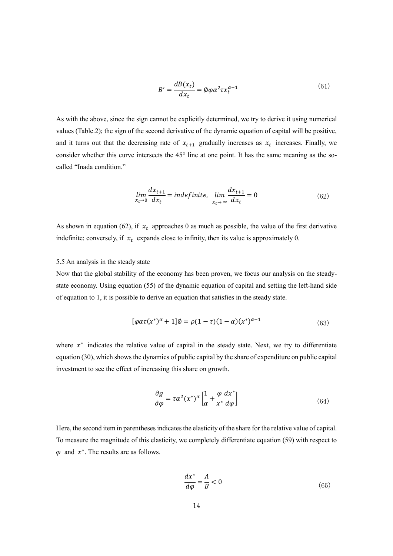$$
B' = \frac{dB(x_t)}{dx_t} = \phi \varphi \alpha^2 \tau x_t^{\alpha - 1}
$$
\n(61)

As with the above, since the sign cannot be explicitly determined, we try to derive it using numerical values (Table.2); the sign of the second derivative of the dynamic equation of capital will be positive, and it turns out that the decreasing rate of  $x_{t+1}$  gradually increases as  $x_t$  increases. Finally, we consider whether this curve intersects the 45° line at one point. It has the same meaning as the socalled "Inada condition."

$$
\lim_{x_t \to 0} \frac{dx_{t+1}}{dx_t} = indefinite, \quad \lim_{x_t \to \infty} \frac{dx_{t+1}}{dx_t} = 0 \tag{62}
$$

As shown in equation (62), if  $x_t$  approaches 0 as much as possible, the value of the first derivative indefinite; conversely, if  $x_t$  expands close to infinity, then its value is approximately 0.

#### 5.5 An analysis in the steady state

Now that the global stability of the economy has been proven, we focus our analysis on the steadystate economy. Using equation (55) of the dynamic equation of capital and setting the left-hand side of equation to 1, it is possible to derive an equation that satisfies in the steady state.

$$
[\varphi a\tau(x^*)^{\alpha} + 1]\emptyset = \rho(1-\tau)(1-\alpha)(x^*)^{\alpha-1}
$$
\n(63)

where  $x^*$  indicates the relative value of capital in the steady state. Next, we try to differentiate equation (30), which shows the dynamics of public capital by the share of expenditure on public capital investment to see the effect of increasing this share on growth.

$$
\frac{\partial g}{\partial \varphi} = \tau \alpha^2 (x^*)^{\alpha} \left[ \frac{1}{\alpha} + \frac{\varphi}{x^*} \frac{dx^*}{d\varphi} \right] \tag{64}
$$

Here, the second item in parentheses indicates the elasticity of the share for the relative value of capital. To measure the magnitude of this elasticity, we completely differentiate equation (59) with respect to  $\varphi$  and  $x^*$ . The results are as follows.

$$
\frac{dx^*}{d\varphi} = \frac{A}{B} < 0 \tag{65}
$$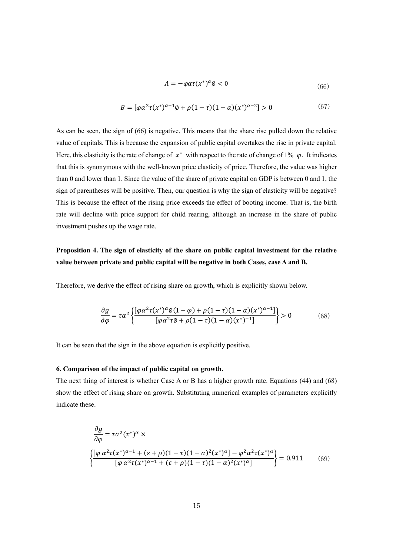$$
A = -\varphi \alpha \tau (x^*)^{\alpha} \varphi < 0 \tag{66}
$$

$$
B = [\varphi \alpha^2 \tau(x^*)^{\alpha - 1} \phi + \rho (1 - \tau)(1 - \alpha)(x^*)^{\alpha - 2}] > 0 \tag{67}
$$

As can be seen, the sign of (66) is negative. This means that the share rise pulled down the relative value of capitals. This is because the expansion of public capital overtakes the rise in private capital. Here, this elasticity is the rate of change of  $x^*$  with respect to the rate of change of 1%  $\varphi$ . It indicates that this is synonymous with the well-known price elasticity of price. Therefore, the value was higher than 0 and lower than 1. Since the value of the share of private capital on GDP is between 0 and 1, the sign of parentheses will be positive. Then, our question is why the sign of elasticity will be negative? This is because the effect of the rising price exceeds the effect of booting income. That is, the birth rate will decline with price support for child rearing, although an increase in the share of public investment pushes up the wage rate.

# **Proposition 4. The sign of elasticity of the share on public capital investment for the relative value between private and public capital will be negative in both Cases, case A and B.**

Therefore, we derive the effect of rising share on growth, which is explicitly shown below.

$$
\frac{\partial g}{\partial \varphi} = \tau \alpha^2 \left\{ \frac{[\varphi \alpha^2 \tau (x^*)^{\alpha} \varphi (1 - \varphi) + \rho (1 - \tau) (1 - \alpha) (x^*)^{\alpha - 1}]}{[\varphi \alpha^2 \tau \varphi + \rho (1 - \tau) (1 - \alpha) (x^*)^{-1}]} \right\} > 0 \tag{68}
$$

It can be seen that the sign in the above equation is explicitly positive.

# **6. Comparison of the impact of public capital on growth.**

The next thing of interest is whether Case A or B has a higher growth rate. Equations (44) and (68) show the effect of rising share on growth. Substituting numerical examples of parameters explicitly indicate these.

$$
\frac{\partial g}{\partial \varphi} = \tau \alpha^2 (x^*)^{\alpha} \times
$$
\n
$$
\left\{ \frac{[\varphi \alpha^2 \tau (x^*)^{\alpha-1} + (\varepsilon + \rho)(1-\tau)(1-\alpha)^2 (x^*)^{\alpha}] - \varphi^2 \alpha^2 \tau (x^*)^{\alpha}}{[\varphi \alpha^2 \tau (x^*)^{\alpha-1} + (\varepsilon + \rho)(1-\tau)(1-\alpha)^2 (x^*)^{\alpha}]} \right\} = 0.911 \quad (69)
$$